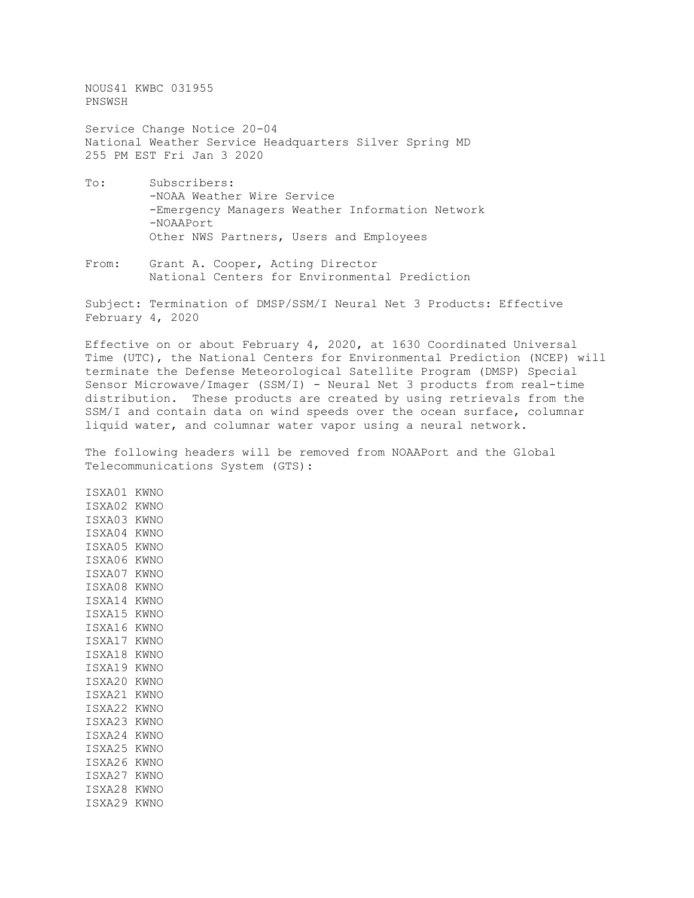NOUS41 KWBC 031955 PNSWSH

Service Change Notice 20-04 National Weather Service Headquarters Silver Spring MD 255 PM EST Fri Jan 3 2020

- To: Subscribers: -NOAA Weather Wire Service -Emergency Managers Weather Information Network -NOAAPort Other NWS Partners, Users and Employees
- From: Grant A. Cooper, Acting Director National Centers for Environmental Prediction

Subject: Termination of DMSP/SSM/I Neural Net 3 Products: Effective February 4, 2020

Effective on or about February 4, 2020, at 1630 Coordinated Universal Time (UTC), the National Centers for Environmental Prediction (NCEP) will terminate the Defense Meteorological Satellite Program (DMSP) Special Sensor Microwave/Imager (SSM/I) - Neural Net 3 products from real-time distribution. These products are created by using retrievals from the SSM/I and contain data on wind speeds over the ocean surface, columnar liquid water, and columnar water vapor using a neural network.

The following headers will be removed from NOAAPort and the Global Telecommunications System (GTS):

ISXA01 KWNO ISXA02 KWNO ISXA03 KWNO ISXA04 KWNO ISXA05 KWNO ISXA06 KWNO ISXA07 KWNO ISXA08 KWNO ISXA14 KWNO ISXA15 KWNO ISXA16 KWNO ISXA17 KWNO ISXA18 KWNO ISXA19 KWNO ISXA20 KWNO ISXA21 KWNO ISXA22 KWNO ISXA23 KWNO ISXA24 KWNO ISXA25 KWNO ISXA26 KWNO ISXA27 KWNO ISXA28 KWNO ISXA29 KWNO